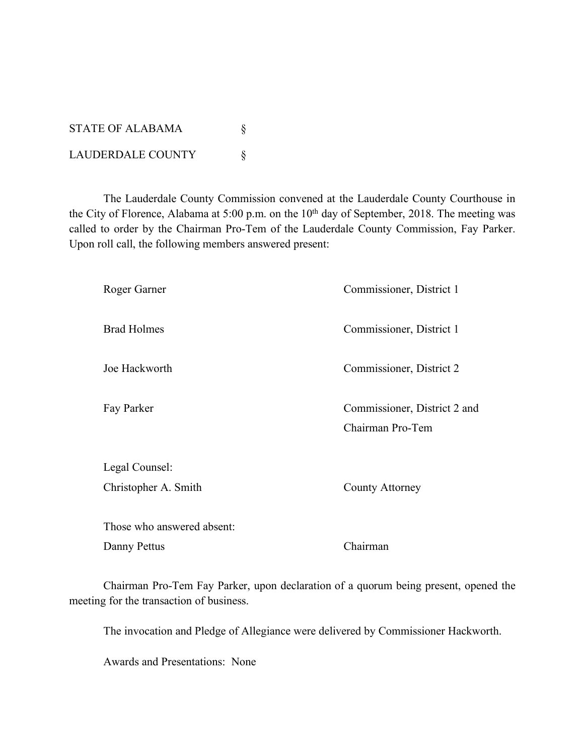STATE OF ALABAMA  $\S$ LAUDERDALE COUNTY \

The Lauderdale County Commission convened at the Lauderdale County Courthouse in the City of Florence, Alabama at 5:00 p.m. on the 10<sup>th</sup> day of September, 2018. The meeting was called to order by the Chairman Pro-Tem of the Lauderdale County Commission, Fay Parker. Upon roll call, the following members answered present:

| Roger Garner               | Commissioner, District 1     |
|----------------------------|------------------------------|
| <b>Brad Holmes</b>         | Commissioner, District 1     |
| Joe Hackworth              | Commissioner, District 2     |
| Fay Parker                 | Commissioner, District 2 and |
|                            | Chairman Pro-Tem             |
| Legal Counsel:             |                              |
| Christopher A. Smith       | County Attorney              |
| Those who answered absent: |                              |
| Danny Pettus               | Chairman                     |

Chairman Pro-Tem Fay Parker, upon declaration of a quorum being present, opened the meeting for the transaction of business.

The invocation and Pledge of Allegiance were delivered by Commissioner Hackworth.

Awards and Presentations: None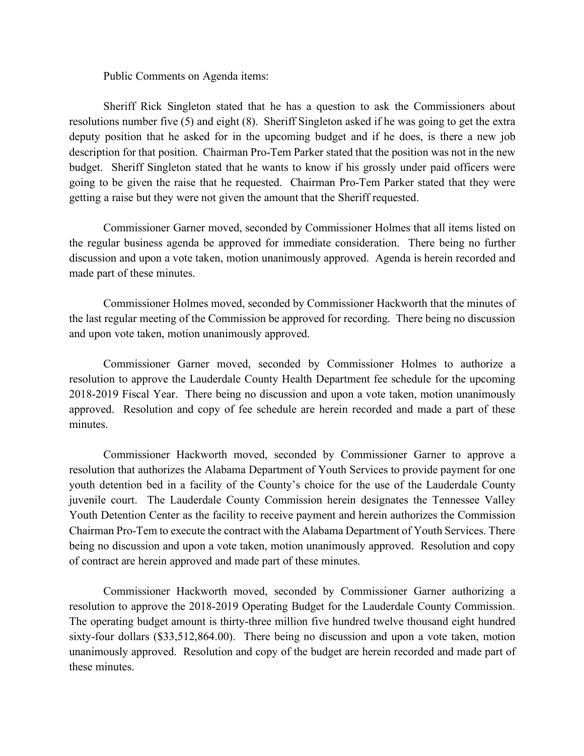Public Comments on Agenda items:

Sheriff Rick Singleton stated that he has a question to ask the Commissioners about resolutions number five (5) and eight (8). Sheriff Singleton asked if he was going to get the extra deputy position that he asked for in the upcoming budget and if he does, is there a new job description for that position. Chairman Pro-Tem Parker stated that the position was not in the new budget. Sheriff Singleton stated that he wants to know if his grossly under paid officers were going to be given the raise that he requested. Chairman Pro-Tem Parker stated that they were getting a raise but they were not given the amount that the Sheriff requested.

Commissioner Garner moved, seconded by Commissioner Holmes that all items listed on the regular business agenda be approved for immediate consideration. There being no further discussion and upon a vote taken, motion unanimously approved. Agenda is herein recorded and made part of these minutes.

Commissioner Holmes moved, seconded by Commissioner Hackworth that the minutes of the last regular meeting of the Commission be approved for recording. There being no discussion and upon vote taken, motion unanimously approved.

Commissioner Garner moved, seconded by Commissioner Holmes to authorize a resolution to approve the Lauderdale County Health Department fee schedule for the upcoming 2018-2019 Fiscal Year. There being no discussion and upon a vote taken, motion unanimously approved. Resolution and copy of fee schedule are herein recorded and made a part of these minutes.

Commissioner Hackworth moved, seconded by Commissioner Garner to approve a resolution that authorizes the Alabama Department of Youth Services to provide payment for one youth detention bed in a facility of the County's choice for the use of the Lauderdale County juvenile court. The Lauderdale County Commission herein designates the Tennessee Valley Youth Detention Center as the facility to receive payment and herein authorizes the Commission Chairman Pro-Tem to execute the contract with the Alabama Department of Youth Services. There being no discussion and upon a vote taken, motion unanimously approved. Resolution and copy of contract are herein approved and made part of these minutes.

Commissioner Hackworth moved, seconded by Commissioner Garner authorizing a resolution to approve the 2018-2019 Operating Budget for the Lauderdale County Commission. The operating budget amount is thirty-three million five hundred twelve thousand eight hundred sixty-four dollars (\$33,512,864.00). There being no discussion and upon a vote taken, motion unanimously approved. Resolution and copy of the budget are herein recorded and made part of these minutes.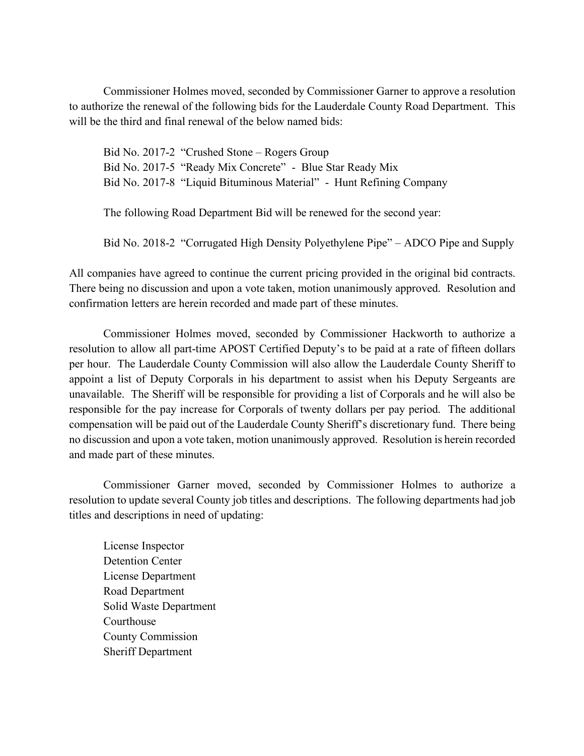Commissioner Holmes moved, seconded by Commissioner Garner to approve a resolution to authorize the renewal of the following bids for the Lauderdale County Road Department. This will be the third and final renewal of the below named bids:

Bid No. 2017-2 "Crushed Stone – Rogers Group Bid No. 2017-5 "Ready Mix Concrete" - Blue Star Ready Mix Bid No. 2017-8 "Liquid Bituminous Material" - Hunt Refining Company

The following Road Department Bid will be renewed for the second year:

Bid No. 2018-2 "Corrugated High Density Polyethylene Pipe" – ADCO Pipe and Supply

All companies have agreed to continue the current pricing provided in the original bid contracts. There being no discussion and upon a vote taken, motion unanimously approved. Resolution and confirmation letters are herein recorded and made part of these minutes.

Commissioner Holmes moved, seconded by Commissioner Hackworth to authorize a resolution to allow all part-time APOST Certified Deputy's to be paid at a rate of fifteen dollars per hour. The Lauderdale County Commission will also allow the Lauderdale County Sheriff to appoint a list of Deputy Corporals in his department to assist when his Deputy Sergeants are unavailable. The Sheriff will be responsible for providing a list of Corporals and he will also be responsible for the pay increase for Corporals of twenty dollars per pay period. The additional compensation will be paid out of the Lauderdale County Sheriff's discretionary fund. There being no discussion and upon a vote taken, motion unanimously approved. Resolution is herein recorded and made part of these minutes.

Commissioner Garner moved, seconded by Commissioner Holmes to authorize a resolution to update several County job titles and descriptions. The following departments had job titles and descriptions in need of updating:

License Inspector Detention Center License Department Road Department Solid Waste Department **Courthouse** County Commission Sheriff Department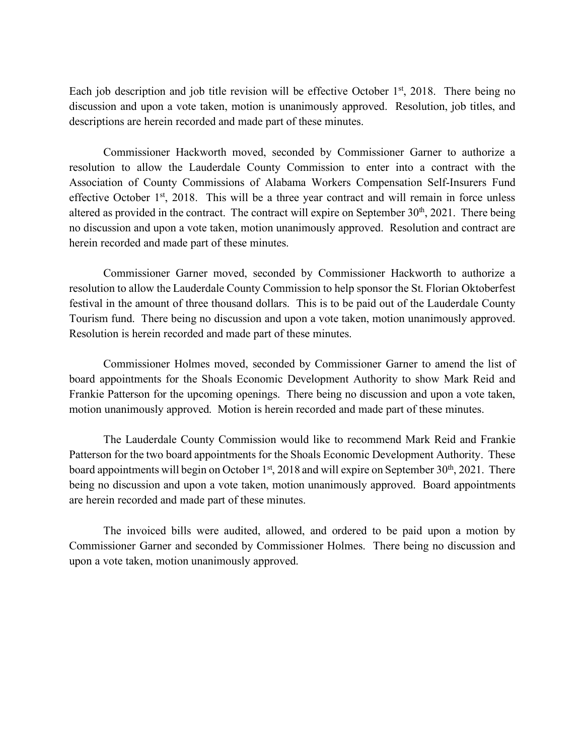Each job description and job title revision will be effective October  $1<sup>st</sup>$ , 2018. There being no discussion and upon a vote taken, motion is unanimously approved. Resolution, job titles, and descriptions are herein recorded and made part of these minutes.

Commissioner Hackworth moved, seconded by Commissioner Garner to authorize a resolution to allow the Lauderdale County Commission to enter into a contract with the Association of County Commissions of Alabama Workers Compensation Self-Insurers Fund effective October 1<sup>st</sup>, 2018. This will be a three year contract and will remain in force unless altered as provided in the contract. The contract will expire on September  $30<sup>th</sup>$ ,  $2021$ . There being no discussion and upon a vote taken, motion unanimously approved. Resolution and contract are herein recorded and made part of these minutes.

Commissioner Garner moved, seconded by Commissioner Hackworth to authorize a resolution to allow the Lauderdale County Commission to help sponsor the St. Florian Oktoberfest festival in the amount of three thousand dollars. This is to be paid out of the Lauderdale County Tourism fund. There being no discussion and upon a vote taken, motion unanimously approved. Resolution is herein recorded and made part of these minutes.

Commissioner Holmes moved, seconded by Commissioner Garner to amend the list of board appointments for the Shoals Economic Development Authority to show Mark Reid and Frankie Patterson for the upcoming openings. There being no discussion and upon a vote taken, motion unanimously approved. Motion is herein recorded and made part of these minutes.

The Lauderdale County Commission would like to recommend Mark Reid and Frankie Patterson for the two board appointments for the Shoals Economic Development Authority. These board appointments will begin on October  $1<sup>st</sup>$ , 2018 and will expire on September 30<sup>th</sup>, 2021. There being no discussion and upon a vote taken, motion unanimously approved. Board appointments are herein recorded and made part of these minutes.

The invoiced bills were audited, allowed, and ordered to be paid upon a motion by Commissioner Garner and seconded by Commissioner Holmes. There being no discussion and upon a vote taken, motion unanimously approved.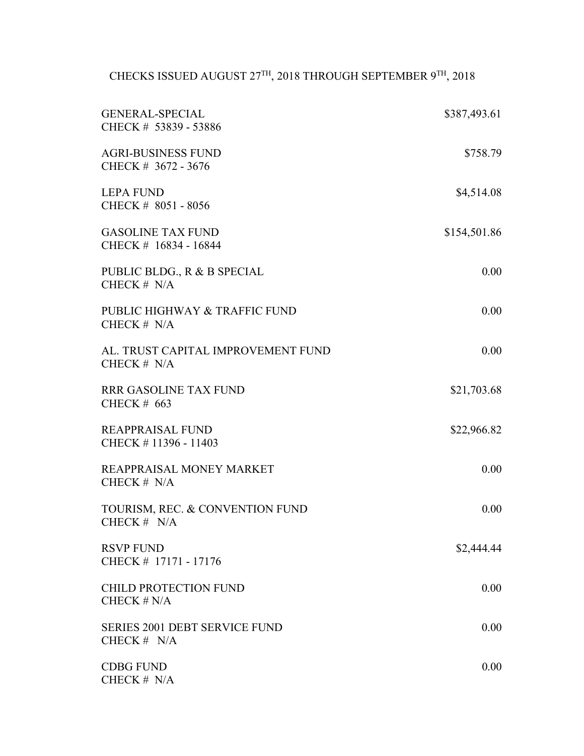CHECKS ISSUED AUGUST 27TH, 2018 THROUGH SEPTEMBER  $9^{\text{TH}}$ , 2018

| <b>GENERAL-SPECIAL</b><br>CHECK # 53839 - 53886       | \$387,493.61 |
|-------------------------------------------------------|--------------|
| <b>AGRI-BUSINESS FUND</b><br>CHECK # 3672 - 3676      | \$758.79     |
| <b>LEPA FUND</b><br>CHECK # 8051 - 8056               | \$4,514.08   |
| <b>GASOLINE TAX FUND</b><br>CHECK # 16834 - 16844     | \$154,501.86 |
| PUBLIC BLDG., R & B SPECIAL<br>CHECK # N/A            | 0.00         |
| PUBLIC HIGHWAY & TRAFFIC FUND<br>CHECK $# N/A$        | 0.00         |
| AL. TRUST CAPITAL IMPROVEMENT FUND<br>CHECK $# N/A$   | 0.00         |
| <b>RRR GASOLINE TAX FUND</b><br><b>CHECK # 663</b>    | \$21,703.68  |
| <b>REAPPRAISAL FUND</b><br>CHECK #11396 - 11403       | \$22,966.82  |
| REAPPRAISAL MONEY MARKET<br>CHECK $# N/A$             | 0.00         |
| TOURISM, REC. & CONVENTION FUND<br>CHECK $# N/A$      | 0.00         |
| <b>RSVP FUND</b><br>CHECK # 17171 - 17176             | \$2,444.44   |
| <b>CHILD PROTECTION FUND</b><br>CHECK $# N/A$         | 0.00         |
| <b>SERIES 2001 DEBT SERVICE FUND</b><br>CHECK $# N/A$ | 0.00         |
| <b>CDBG FUND</b><br>CHECK # N/A                       | 0.00         |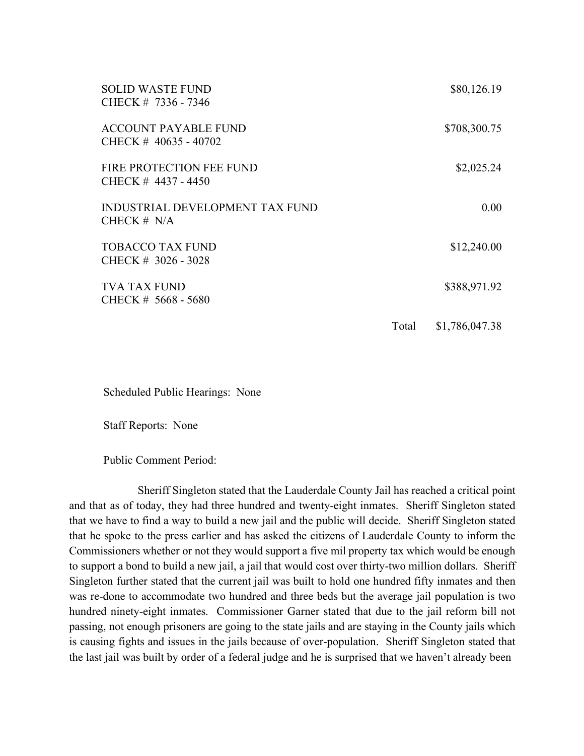| <b>SOLID WASTE FUND</b><br>CHECK # 7336 - 7346          |       | \$80,126.19    |
|---------------------------------------------------------|-------|----------------|
| <b>ACCOUNT PAYABLE FUND</b><br>CHECK $\#$ 40635 - 40702 |       | \$708,300.75   |
| FIRE PROTECTION FEE FUND<br>CHECK #4437 - 4450          |       | \$2,025.24     |
| <b>INDUSTRIAL DEVELOPMENT TAX FUND</b><br>CHECK $# N/A$ |       | 0.00           |
| <b>TOBACCO TAX FUND</b><br>CHECK # 3026 - 3028          |       | \$12,240.00    |
| <b>TVA TAX FUND</b><br>CHECK # 5668 - 5680              |       | \$388,971.92   |
|                                                         | Total | \$1,786,047.38 |

Scheduled Public Hearings: None

Staff Reports: None

Public Comment Period:

Sheriff Singleton stated that the Lauderdale County Jail has reached a critical point and that as of today, they had three hundred and twenty-eight inmates. Sheriff Singleton stated that we have to find a way to build a new jail and the public will decide. Sheriff Singleton stated that he spoke to the press earlier and has asked the citizens of Lauderdale County to inform the Commissioners whether or not they would support a five mil property tax which would be enough to support a bond to build a new jail, a jail that would cost over thirty-two million dollars. Sheriff Singleton further stated that the current jail was built to hold one hundred fifty inmates and then was re-done to accommodate two hundred and three beds but the average jail population is two hundred ninety-eight inmates. Commissioner Garner stated that due to the jail reform bill not passing, not enough prisoners are going to the state jails and are staying in the County jails which is causing fights and issues in the jails because of over-population. Sheriff Singleton stated that the last jail was built by order of a federal judge and he is surprised that we haven't already been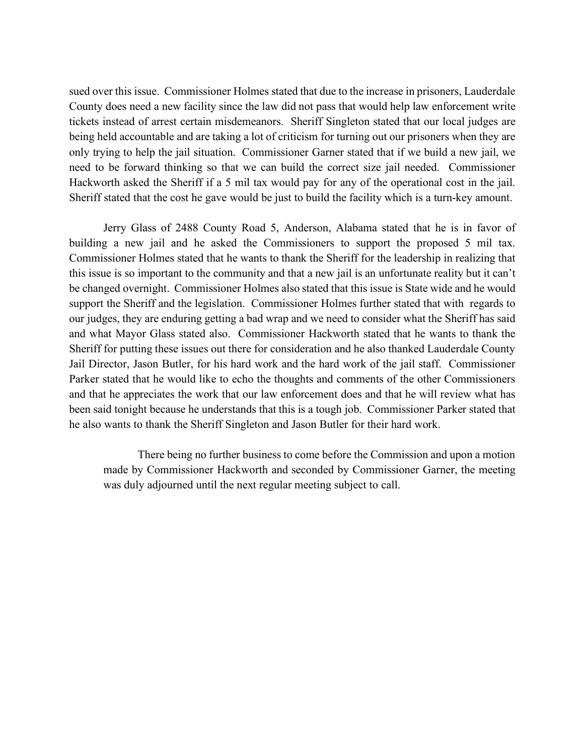sued over this issue. Commissioner Holmes stated that due to the increase in prisoners, Lauderdale County does need a new facility since the law did not pass that would help law enforcement write tickets instead of arrest certain misdemeanors. Sheriff Singleton stated that our local judges are being held accountable and are taking a lot of criticism for turning out our prisoners when they are only trying to help the jail situation. Commissioner Garner stated that if we build a new jail, we need to be forward thinking so that we can build the correct size jail needed. Commissioner Hackworth asked the Sheriff if a 5 mil tax would pay for any of the operational cost in the jail. Sheriff stated that the cost he gave would be just to build the facility which is a turn-key amount.

Jerry Glass of 2488 County Road 5, Anderson, Alabama stated that he is in favor of building a new jail and he asked the Commissioners to support the proposed 5 mil tax. Commissioner Holmes stated that he wants to thank the Sheriff for the leadership in realizing that this issue is so important to the community and that a new jail is an unfortunate reality but it can't be changed overnight. Commissioner Holmes also stated that this issue is State wide and he would support the Sheriff and the legislation. Commissioner Holmes further stated that with regards to our judges, they are enduring getting a bad wrap and we need to consider what the Sheriff has said and what Mayor Glass stated also. Commissioner Hackworth stated that he wants to thank the Sheriff for putting these issues out there for consideration and he also thanked Lauderdale County Jail Director, Jason Butler, for his hard work and the hard work of the jail staff. Commissioner Parker stated that he would like to echo the thoughts and comments of the other Commissioners and that he appreciates the work that our law enforcement does and that he will review what has been said tonight because he understands that this is a tough job. Commissioner Parker stated that he also wants to thank the Sheriff Singleton and Jason Butler for their hard work.

There being no further business to come before the Commission and upon a motion made by Commissioner Hackworth and seconded by Commissioner Garner, the meeting was duly adjourned until the next regular meeting subject to call.